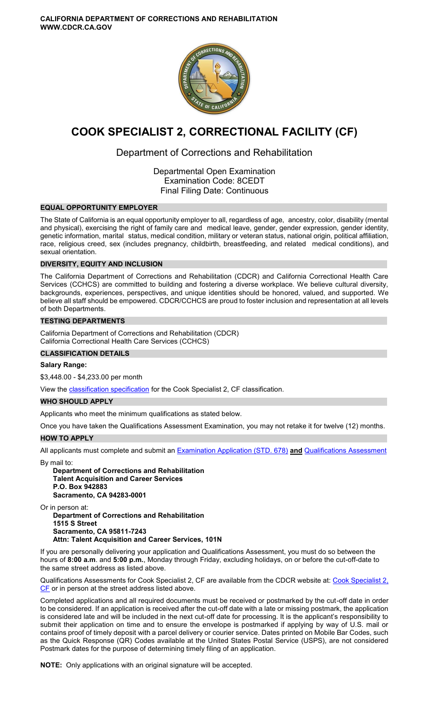

# **COOK SPECIALIST 2, CORRECTIONAL FACILITY (CF)**

## Department of Corrections and Rehabilitation

Departmental Open Examination Examination Code: 8CEDT Final Filing Date: Continuous

## **EQUAL OPPORTUNITY EMPLOYER**

The State of California is an equal opportunity employer to all, regardless of age, ancestry, color, disability (mental and physical), exercising the right of family care and medical leave, gender, gender expression, gender identity, genetic information, marital status, medical condition, military or veteran status, national origin, political affiliation, race, religious creed, sex (includes pregnancy, childbirth, breastfeeding, and related medical conditions), and sexual orientation.

## **DIVERSITY, EQUITY AND INCLUSION**

The California Department of Corrections and Rehabilitation (CDCR) and California Correctional Health Care Services (CCHCS) are committed to building and fostering a diverse workplace. We believe cultural diversity, backgrounds, experiences, perspectives, and unique identities should be honored, valued, and supported. We believe all staff should be empowered. CDCR/CCHCS are proud to foster inclusion and representation at all levels of both Departments.

## **TESTING DEPARTMENTS**

California Department of Corrections and Rehabilitation (CDCR) California Correctional Health Care Services (CCHCS)

## **CLASSIFICATION DETAILS**

## **Salary Range:**

\$3,448.00 - \$4,233.00 per month

View the **classification specification** for the Cook Specialist 2, CF classification.

## **WHO SHOULD APPLY**

Applicants who meet the minimum qualifications as stated below.

Once you have taken the Qualifications Assessment Examination, you may not retake it for twelve (12) months.

## **HOW TO APPLY**

All applicants must complete and submit an [Examination Application \(STD. 678\)](https://jobs.ca.gov/pdf/STD678.pdf) **and** [Qualifications Assessment](https://www.cdcr.ca.gov/careers/wp-content/uploads/sites/164/2019/06/CookSpecII-QA.pdf?label=Qualification%20Assessment&from=https://www.cdcr.ca.gov/careers/career-opportunities/exams-food-2/) 

By mail to:

**Department of Corrections and Rehabilitation Talent Acquisition and Career Services P.O. Box 942883 Sacramento, CA 94283-0001** 

Or in person at:

**Department of Corrections and Rehabilitation 1515 S Street Sacramento, CA 95811-7243 Attn: Talent Acquisition and Career Services, 101N** 

If you are personally delivering your application and Qualifications Assessment, you must do so between the hours of **8:00 a.m**. and **5:00 p.m.**, Monday through Friday, excluding holidays, on or before the cut-off-date to the same street address as listed above.

Qualifications Assessments for Cook Specialist 2, CF are available from the CDCR website at: Cook Specialist 2, [CF](https://www.cdcr.ca.gov/careers/wp-content/uploads/sites/164/2019/06/CookSpecII-QA.pdf?label=Qualification%20Assessment&from=https://www.cdcr.ca.gov/careers/career-opportunities/exams-food-2/) or in person at the street address listed above.

Completed applications and all required documents must be received or postmarked by the cut-off date in order to be considered. If an application is received after the cut-off date with a late or missing postmark, the application is considered late and will be included in the next cut-off date for processing. It is the applicant's responsibility to submit their application on time and to ensure the envelope is postmarked if applying by way of U.S. mail or contains proof of timely deposit with a parcel delivery or courier service. Dates printed on Mobile Bar Codes, such as the Quick Response (QR) Codes available at the United States Postal Service (USPS), are not considered Postmark dates for the purpose of determining timely filing of an application.

**NOTE:** Only applications with an original signature will be accepted.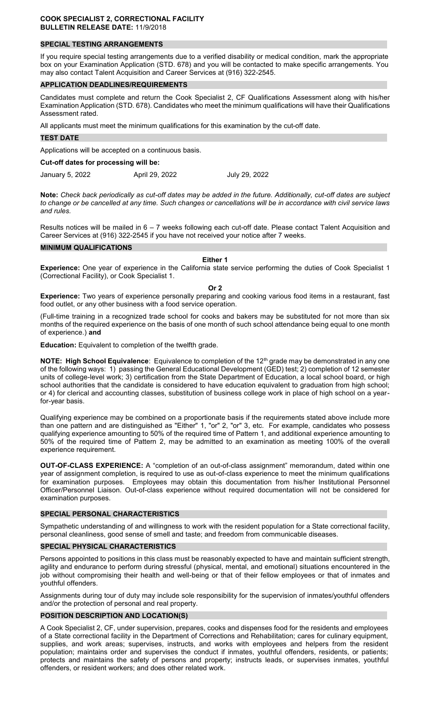## **SPECIAL TESTING ARRANGEMENTS**

If you require special testing arrangements due to a verified disability or medical condition, mark the appropriate box on your Examination Application (STD. 678) and you will be contacted to make specific arrangements. You may also contact Talent Acquisition and Career Services at (916) 322-2545.

#### **APPLICATION DEADLINES/REQUIREMENTS**

Candidates must complete and return the Cook Specialist 2, CF Qualifications Assessment along with his/her Examination Application (STD. 678). Candidates who meet the minimum qualifications will have their Qualifications Assessment rated.

All applicants must meet the minimum qualifications for this examination by the cut-off date.

#### **TEST DATE**

Applications will be accepted on a continuous basis.

#### **Cut-off dates for processing will be:**

January 5, 2022 April 29, 2022 July 29, 2022

**Note:** *Check back periodically as cut-off dates may be added in the future. Additionally, cut-off dates are subject to change or be cancelled at any time. Such changes or cancellations will be in accordance with civil service laws and rules.* 

Results notices will be mailed in 6 – 7 weeks following each cut-off date. Please contact Talent Acquisition and Career Services at (916) 322-2545 if you have not received your notice after 7 weeks.

## **MINIMUM QUALIFICATIONS**

#### **Either 1**

**Experience:** One year of experience in the California state service performing the duties of Cook Specialist 1 (Correctional Facility), or Cook Specialist 1.

#### **Or 2**

**Experience:** Two years of experience personally preparing and cooking various food items in a restaurant, fast food outlet, or any other business with a food service operation.

(Full-time training in a recognized trade school for cooks and bakers may be substituted for not more than six months of the required experience on the basis of one month of such school attendance being equal to one month of experience.) **and** 

**Education:** Equivalent to completion of the twelfth grade.

**NOTE: High School Equivalence**: Equivalence to completion of the 12<sup>th</sup> grade may be demonstrated in any one of the following ways: 1) passing the General Educational Development (GED) test; 2) completion of 12 semester units of college-level work; 3) certification from the State Department of Education, a local school board, or high school authorities that the candidate is considered to have education equivalent to graduation from high school; or 4) for clerical and accounting classes, substitution of business college work in place of high school on a yearfor-year basis.

Qualifying experience may be combined on a proportionate basis if the requirements stated above include more than one pattern and are distinguished as "Either" 1, "or" 2, "or" 3, etc. For example, candidates who possess qualifying experience amounting to 50% of the required time of Pattern 1, and additional experience amounting to 50% of the required time of Pattern 2, may be admitted to an examination as meeting 100% of the overall experience requirement.

**OUT-OF-CLASS EXPERIENCE:** A "completion of an out-of-class assignment" memorandum, dated within one year of assignment completion, is required to use as out-of-class experience to meet the minimum qualifications for examination purposes. Employees may obtain this documentation from his/her Institutional Personnel Officer/Personnel Liaison. Out-of-class experience without required documentation will not be considered for examination purposes.

## **SPECIAL PERSONAL CHARACTERISTICS**

Sympathetic understanding of and willingness to work with the resident population for a State correctional facility, personal cleanliness, good sense of smell and taste; and freedom from communicable diseases.

#### **SPECIAL PHYSICAL CHARACTERISTICS**

Persons appointed to positions in this class must be reasonably expected to have and maintain sufficient strength, agility and endurance to perform during stressful (physical, mental, and emotional) situations encountered in the job without compromising their health and well-being or that of their fellow employees or that of inmates and youthful offenders.

Assignments during tour of duty may include sole responsibility for the supervision of inmates/youthful offenders and/or the protection of personal and real property.

## **POSITION DESCRIPTION AND LOCATION(S)**

A Cook Specialist 2, CF, under supervision, prepares, cooks and dispenses food for the residents and employees of a State correctional facility in the Department of Corrections and Rehabilitation; cares for culinary equipment, supplies, and work areas; supervises, instructs, and works with employees and helpers from the resident population; maintains order and supervises the conduct if inmates, youthful offenders, residents, or patients; protects and maintains the safety of persons and property; instructs leads, or supervises inmates, youthful offenders, or resident workers; and does other related work.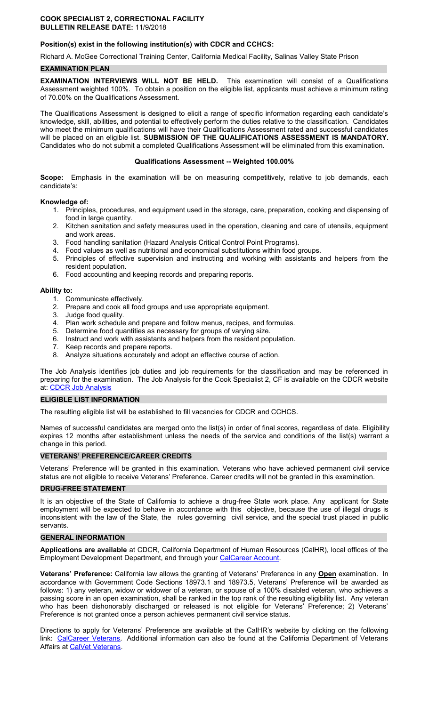## **Position(s) exist in the following institution(s) with CDCR and CCHCS:**

Richard A. McGee Correctional Training Center, California Medical Facility, Salinas Valley State Prison

## **EXAMINATION PLAN**

**EXAMINATION INTERVIEWS WILL NOT BE HELD.** This examination will consist of a Qualifications Assessment weighted 100%. To obtain a position on the eligible list, applicants must achieve a minimum rating of 70.00% on the Qualifications Assessment.

The Qualifications Assessment is designed to elicit a range of specific information regarding each candidate's knowledge, skill, abilities, and potential to effectively perform the duties relative to the classification. Candidates who meet the minimum qualifications will have their Qualifications Assessment rated and successful candidates will be placed on an eligible list. **SUBMISSION OF THE QUALIFICATIONS ASSESSMENT IS MANDATORY.**  Candidates who do not submit a completed Qualifications Assessment will be eliminated from this examination.

## **Qualifications Assessment -- Weighted 100.00%**

**Scope:** Emphasis in the examination will be on measuring competitively, relative to job demands, each candidate's:

## **Knowledge of:**

- 1. Principles, procedures, and equipment used in the storage, care, preparation, cooking and dispensing of food in large quantity.
- 2. Kitchen sanitation and safety measures used in the operation, cleaning and care of utensils, equipment and work areas.
- 3. Food handling sanitation (Hazard Analysis Critical Control Point Programs).
- 4. Food values as well as nutritional and economical substitutions within food groups.
- 5. Principles of effective supervision and instructing and working with assistants and helpers from the resident population.
- 6. Food accounting and keeping records and preparing reports.

## **Ability to:**

- 1. Communicate effectively.
- 2. Prepare and cook all food groups and use appropriate equipment.
- 3. Judge food quality.
- 4. Plan work schedule and prepare and follow menus, recipes, and formulas.
- 5. Determine food quantities as necessary for groups of varying size.
- 6. Instruct and work with assistants and helpers from the resident population.
- 7. Keep records and prepare reports.
- 8. Analyze situations accurately and adopt an effective course of action.

The Job Analysis identifies job duties and job requirements for the classification and may be referenced in preparing for the examination. The Job Analysis for the Cook Specialist 2, CF is available on the CDCR website at: [CDCR Job Analysis](https://www.cdcr.ca.gov/Career_Opportunities/HR/OPS/Exams/Analysis/index.html) 

## **ELIGIBLE LIST INFORMATION**

The resulting eligible list will be established to fill vacancies for CDCR and CCHCS.

Names of successful candidates are merged onto the list(s) in order of final scores, regardless of date. Eligibility expires 12 months after establishment unless the needs of the service and conditions of the list(s) warrant a change in this period.

## **VETERANS' PREFERENCE/CAREER CREDITS**

Veterans' Preference will be granted in this examination. Veterans who have achieved permanent civil service status are not eligible to receive Veterans' Preference. Career credits will not be granted in this examination.

#### **DRUG-FREE STATEMENT**

It is an objective of the State of California to achieve a drug-free State work place. Any applicant for State employment will be expected to behave in accordance with this objective, because the use of illegal drugs is inconsistent with the law of the State, the rules governing civil service, and the special trust placed in public servants.

## **GENERAL INFORMATION**

**Applications are available** at CDCR, California Department of Human Resources (CalHR), local offices of the Employment Development Department, and through your CalCareer Account.

**Veterans' Preference:** California law allows the granting of Veterans' Preference in any **Open** examination. In accordance with Government Code Sections 18973.1 and 18973.5, Veterans' Preference will be awarded as follows: 1) any veteran, widow or widower of a veteran, or spouse of a 100% disabled veteran, who achieves a passing score in an open examination, shall be ranked in the top rank of the resulting eligibility list. Any veteran who has been dishonorably discharged or released is not eligible for Veterans' Preference; 2) Veterans' Preference is not granted once a person achieves permanent civil service status.

Directions to apply for Veterans' Preference are available at the CalHR's website by clicking on the following link: [CalCareer Veterans.](https://jobs.ca.gov/CalHRPublic/Landing/Veterans.aspx) Additional information can also be found at the California Department of Veterans Affairs at [CalVet Veterans.](http://www.calvet.ca.gov/veteran-services-benefits/employment)